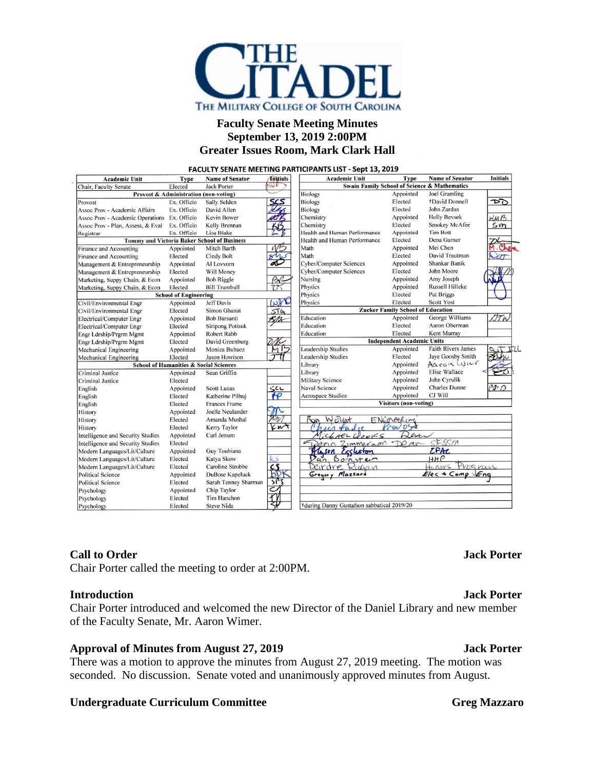

# **Faculty Senate Meeting Minutes September 13, 2019 2:00PM Greater Issues Room, Mark Clark Hall**

|                                                             |                              |                                       |                        | <b>FACULTY SENATE MEETING PARTICIPANTS LIST - Sept 13, 2019</b> |                              |                           |                  |
|-------------------------------------------------------------|------------------------------|---------------------------------------|------------------------|-----------------------------------------------------------------|------------------------------|---------------------------|------------------|
| <b>Academic Unit</b>                                        | <b>Type</b>                  | <b>Name of Senator</b>                | <i><b>Tnitials</b></i> | <b>Academic Unit</b>                                            | <b>Type</b>                  | <b>Name of Senator</b>    | <b>Initials</b>  |
| W<br>Elected<br><b>Jack Porter</b><br>Chair, Faculty Senate |                              |                                       |                        | <b>Swain Family School of Science &amp; Mathematics</b>         |                              |                           |                  |
|                                                             |                              | Provost & Administration (non-voting) |                        | Biology                                                         | Appointed                    | <b>Joel Gramling</b>      |                  |
| Provost                                                     | Ex. Officio                  | Sally Selden                          | 55                     | <b>Biology</b>                                                  | Elected                      | +David Donnell            | চচ               |
| Assoc Prov - Academic Affairs                               | Ex. Officio                  | David Allen                           |                        | Biology                                                         | Elected                      | John Zardus               |                  |
| <b>Assoc Prov - Academic Operations</b>                     | Ex. Officio                  | <b>Kevin Bower</b>                    |                        | Chemistry                                                       | Appointed                    | <b>Holly Bevsek</b>       | HMB              |
| Assoc Prov - Plan, Assess, & Eval Ex. Officio               |                              | Kelly Brennan                         |                        | Chemistry                                                       | Elected                      | <b>Smokey McAfee</b>      | 5m               |
| Registrar                                                   | Ex. Officio                  | Lisa Blake                            |                        | Health and Human Performance                                    | Appointed                    | <b>Tim Bott</b>           |                  |
| <b>Tommy and Victoria Baker School of Business</b>          |                              |                                       |                        | Health and Human Performance                                    | Elected                      | Dena Garner               |                  |
| Finance and Accounting                                      | Appointed                    | Mitch Barth                           |                        | Math                                                            | Appointed                    | Mei Chen                  | O                |
| Finance and Accounting                                      | Elected                      | <b>Cindy Bolt</b>                     |                        | Math                                                            | Elected                      | David Trautman            |                  |
| Management & Entrepreneurship                               | Appointed                    | Al Lovvorn                            |                        | <b>Cyber/Computer Sciences</b>                                  | Appointed                    | Shankar Banik             |                  |
| Management & Entrepreneurship                               | Elected                      | Will Money                            |                        | <b>Cyber/Computer Sciences</b>                                  | Elected                      | John Moore                |                  |
| Marketing, Suppy Chain, & Econ                              | Appointed                    | <b>Bob Riggle</b>                     | Br                     | Nursing                                                         | Appointed                    | Amy Joseph                |                  |
| Marketing, Suppy Chain, & Econ                              | Elected                      | <b>Bill Trumbull</b>                  |                        | Physics                                                         | Appointed                    | <b>Russell Hilleke</b>    |                  |
|                                                             | <b>School of Engineering</b> |                                       |                        | Physics                                                         | Elected                      | Pat Briggs                |                  |
| Civil/Environmental Engr                                    | Appointed                    | <b>Jeff Davis</b>                     | Work                   | Physics                                                         | Elected                      | <b>Scott Yost</b>         |                  |
| Civil/Environmental Engr                                    | Elected                      | Simon Ghanat                          | STG                    | <b>Zucker Family School of Education</b>                        |                              |                           |                  |
| Electrical/Computer Engr                                    | Appointed                    | <b>Bob Barsanti</b>                   | RM                     | Education                                                       | Appointed                    | George Williams           | OT h             |
| Electrical/Computer Engr                                    | Elected                      | <b>Siripong Potisuk</b>               |                        | Education                                                       | Elected                      | Aaron Oberman             |                  |
| Engr Ldrship/Prgrm Mgmt                                     | Appointed                    | <b>Robert Rabb</b>                    |                        | Education                                                       | Elected                      | Kent Murray               |                  |
| Engr Ldrship/Prgrm Mgmt                                     | Elected                      | David Greenburg                       |                        | <b>Independent Academic Units</b>                               |                              |                           |                  |
| Mechanical Engineering                                      | Appointed                    | Monica Bubacz                         |                        | <b>Leadership Studies</b>                                       | Appointed                    | <b>Faith Rivers James</b> |                  |
| <b>Mechanical Engineering</b>                               | Elected                      | Jason Howison                         |                        | <b>Leadership Studies</b>                                       | Elected                      | Jaye Goosby Smith         |                  |
| <b>School of Humanities &amp; Social Sciences</b>           |                              |                                       |                        | Library                                                         | Appointed                    | Aaron Win                 |                  |
| <b>Criminal Justice</b>                                     | Appointed                    | Sean Griffin                          |                        | Library                                                         | Appointed                    | Elise Wallace             |                  |
| Criminal Justice                                            | Elected                      |                                       |                        | <b>Military Science</b>                                         | Appointed                    | John Cyrulik              |                  |
| English                                                     | Appointed                    | <b>Scott Lucas</b>                    |                        | <b>Naval Science</b>                                            | Appointed                    | <b>Charles Dunne</b>      | $\mathfrak{C}^n$ |
| English                                                     | Elected                      | Katherine Pilhui                      | ra                     | <b>Aerospace Studies</b>                                        | Appointed                    | CJ Will                   |                  |
| English                                                     | Elected                      | <b>Frances Frame</b>                  |                        |                                                                 | <b>Visitors</b> (non-voting) |                           |                  |
| History                                                     | Appointed                    | Joelle Neulander                      | 爪                      |                                                                 |                              |                           |                  |
| History                                                     | Elected                      | Amanda Mushal                         | nn/                    |                                                                 | ENGINEERIN                   |                           |                  |
| History                                                     | Elected                      | <b>Kerry Taylor</b>                   | KNT                    | $\mathcal{L}_{I_A}$<br>$\overline{A}$                           | Provos                       |                           |                  |
| Intelligence and Security Studies                           | Appointed                    | Carl Jensen                           |                        | WeE5<br>MichAEL                                                 | esa                          |                           |                  |
| Intelligence and Security Studies                           | Elected                      |                                       |                        | ZIMMERGAM                                                       | $\sim$<br>$\n  or\n$         | SFSSM                     |                  |
| Modern Languages/Lit/Culture                                | Appointed                    | Guy Toubiana                          |                        | Eccleston                                                       |                              | <b>CPAC</b>               |                  |
| Modern Languages/Lit/Culture                                | Elected                      | <b>Katva Skow</b>                     | KS.                    | Bornstein                                                       |                              | $H$ $P$                   |                  |
| Modern Languages/Lit/Culture                                | Elected                      | Caroline Strobbe                      | <u>cs</u>              | Ragan<br>$dv$ $e$                                               |                              | Program<br>Honors         |                  |
| <b>Political Science</b>                                    | Appointed                    | DuBose Kapeluck                       | BD                     | Mazzard<br>Gregory                                              |                              | $E$ lec & Comp $E$ ng     |                  |
| Political Science                                           | Elected                      | Sarah Tenney Sharman                  | 55 <sup>2</sup>        |                                                                 |                              |                           |                  |
| Psychology                                                  | Appointed                    | Chip Taylor                           | $\tilde{\phantom{a}}$  |                                                                 |                              |                           |                  |
| Psychology                                                  | Elected                      | Tim Hanchon                           |                        |                                                                 |                              |                           |                  |
| Psychology                                                  | Elected                      | Steve Nida                            |                        | +during Danny Gustafson sabbatical 2019/20                      |                              |                           |                  |

## **Call to Order Jack Porter**

Chair Porter called the meeting to order at 2:00PM.

### **Introduction Jack Porter**

Chair Porter introduced and welcomed the new Director of the Daniel Library and new member of the Faculty Senate, Mr. Aaron Wimer.

## **Approval of Minutes from August 27, 2019 Jack Porter**

There was a motion to approve the minutes from August 27, 2019 meeting. The motion was seconded. No discussion. Senate voted and unanimously approved minutes from August.

## **Undergraduate Curriculum Committee <b>Greg Greg Mazzaro**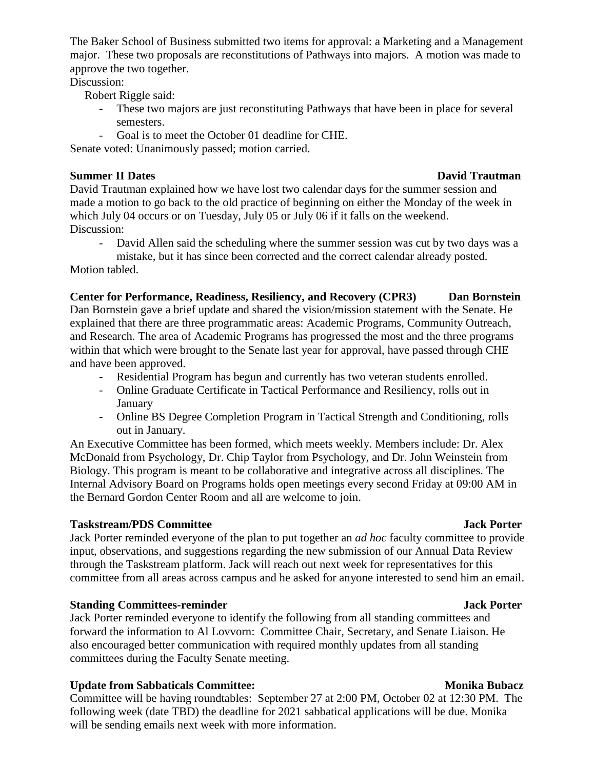The Baker School of Business submitted two items for approval: a Marketing and a Management major. These two proposals are reconstitutions of Pathways into majors. A motion was made to approve the two together.

# Discussion:

Robert Riggle said:

- These two majors are just reconstituting Pathways that have been in place for several semesters.
- Goal is to meet the October 01 deadline for CHE.

Senate voted: Unanimously passed; motion carried.

## **Summer II Dates David Trautman**

David Trautman explained how we have lost two calendar days for the summer session and made a motion to go back to the old practice of beginning on either the Monday of the week in which July 04 occurs or on Tuesday, July 05 or July 06 if it falls on the weekend. Discussion:

- David Allen said the scheduling where the summer session was cut by two days was a mistake, but it has since been corrected and the correct calendar already posted.

Motion tabled.

## **Center for Performance, Readiness, Resiliency, and Recovery (CPR3) Dan Bornstein**

Dan Bornstein gave a brief update and shared the vision/mission statement with the Senate. He explained that there are three programmatic areas: Academic Programs, Community Outreach, and Research. The area of Academic Programs has progressed the most and the three programs within that which were brought to the Senate last year for approval, have passed through CHE and have been approved.

- Residential Program has begun and currently has two veteran students enrolled.
- Online Graduate Certificate in Tactical Performance and Resiliency, rolls out in January
- Online BS Degree Completion Program in Tactical Strength and Conditioning, rolls out in January.

An Executive Committee has been formed, which meets weekly. Members include: Dr. Alex McDonald from Psychology, Dr. Chip Taylor from Psychology, and Dr. John Weinstein from Biology. This program is meant to be collaborative and integrative across all disciplines. The Internal Advisory Board on Programs holds open meetings every second Friday at 09:00 AM in the Bernard Gordon Center Room and all are welcome to join.

## **Taskstream/PDS** Committee Jack Porter

# Jack Porter reminded everyone of the plan to put together an *ad hoc* faculty committee to provide input, observations, and suggestions regarding the new submission of our Annual Data Review through the Taskstream platform. Jack will reach out next week for representatives for this committee from all areas across campus and he asked for anyone interested to send him an email.

## **Standing Committees-reminder Jack Porter**

Jack Porter reminded everyone to identify the following from all standing committees and forward the information to Al Lovvorn: Committee Chair, Secretary, and Senate Liaison. He also encouraged better communication with required monthly updates from all standing committees during the Faculty Senate meeting.

# **Update from Sabbaticals Committee:** Monika Bubacz

Committee will be having roundtables: September 27 at 2:00 PM, October 02 at 12:30 PM. The following week (date TBD) the deadline for 2021 sabbatical applications will be due. Monika will be sending emails next week with more information.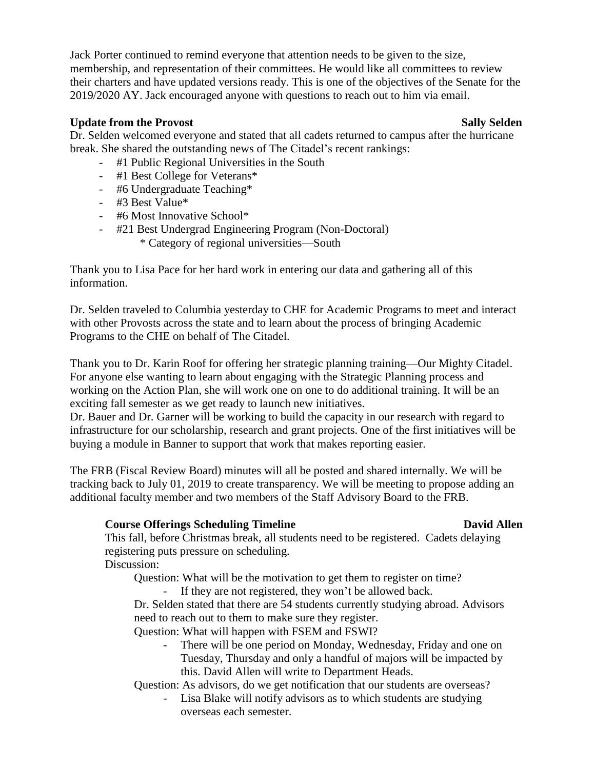Jack Porter continued to remind everyone that attention needs to be given to the size, membership, and representation of their committees. He would like all committees to review their charters and have updated versions ready. This is one of the objectives of the Senate for the 2019/2020 AY. Jack encouraged anyone with questions to reach out to him via email.

## **Update from** the Provost Sally Selden Sally Selden

Dr. Selden welcomed everyone and stated that all cadets returned to campus after the hurricane break. She shared the outstanding news of The Citadel's recent rankings:

- #1 Public Regional Universities in the South
- #1 Best College for Veterans\*
- #6 Undergraduate Teaching\*
- #3 Best Value\*
- #6 Most Innovative School\*
- #21 Best Undergrad Engineering Program (Non-Doctoral)
	- \* Category of regional universities—South

Thank you to Lisa Pace for her hard work in entering our data and gathering all of this information.

Dr. Selden traveled to Columbia yesterday to CHE for Academic Programs to meet and interact with other Provosts across the state and to learn about the process of bringing Academic Programs to the CHE on behalf of The Citadel.

Thank you to Dr. Karin Roof for offering her strategic planning training—Our Mighty Citadel. For anyone else wanting to learn about engaging with the Strategic Planning process and working on the Action Plan, she will work one on one to do additional training. It will be an exciting fall semester as we get ready to launch new initiatives.

Dr. Bauer and Dr. Garner will be working to build the capacity in our research with regard to infrastructure for our scholarship, research and grant projects. One of the first initiatives will be buying a module in Banner to support that work that makes reporting easier.

The FRB (Fiscal Review Board) minutes will all be posted and shared internally. We will be tracking back to July 01, 2019 to create transparency. We will be meeting to propose adding an additional faculty member and two members of the Staff Advisory Board to the FRB.

# **Course Offerings Scheduling Timeline David Allen**

This fall, before Christmas break, all students need to be registered. Cadets delaying registering puts pressure on scheduling. Discussion:

Question: What will be the motivation to get them to register on time?

- If they are not registered, they won't be allowed back.

Dr. Selden stated that there are 54 students currently studying abroad. Advisors need to reach out to them to make sure they register.

Question: What will happen with FSEM and FSWI?

There will be one period on Monday, Wednesday, Friday and one on Tuesday, Thursday and only a handful of majors will be impacted by this. David Allen will write to Department Heads.

Question: As advisors, do we get notification that our students are overseas?

- Lisa Blake will notify advisors as to which students are studying overseas each semester.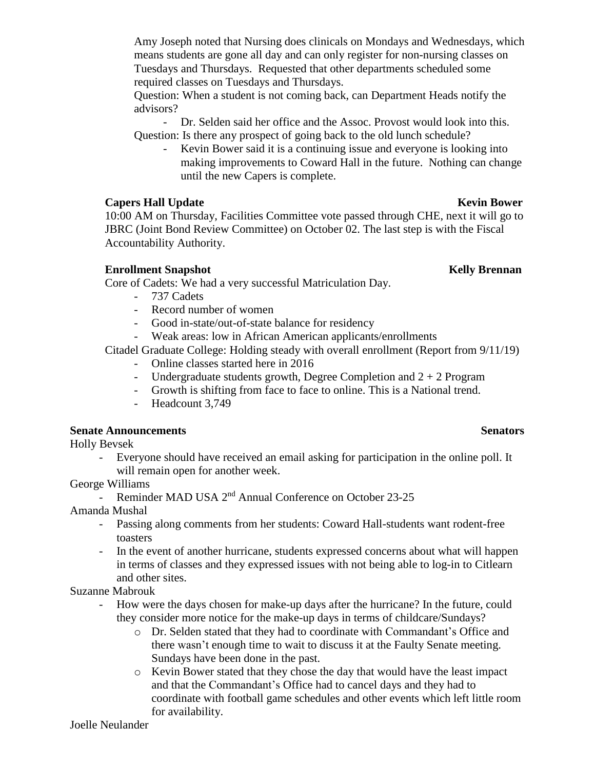Amy Joseph noted that Nursing does clinicals on Mondays and Wednesdays, which means students are gone all day and can only register for non-nursing classes on Tuesdays and Thursdays. Requested that other departments scheduled some required classes on Tuesdays and Thursdays.

Question: When a student is not coming back, can Department Heads notify the advisors?

- Dr. Selden said her office and the Assoc. Provost would look into this. Question: Is there any prospect of going back to the old lunch schedule?

Kevin Bower said it is a continuing issue and everyone is looking into making improvements to Coward Hall in the future. Nothing can change until the new Capers is complete.

## **Capers Hall** Update **Kevin Bower Kevin Kevin Bower**

10:00 AM on Thursday, Facilities Committee vote passed through CHE, next it will go to JBRC (Joint Bond Review Committee) on October 02. The last step is with the Fiscal Accountability Authority.

# **Enrollment Snapshot Kelly Brennan**

Core of Cadets: We had a very successful Matriculation Day.

- 737 Cadets
- Record number of women
- Good in-state/out-of-state balance for residency
- Weak areas: low in African American applicants/enrollments

Citadel Graduate College: Holding steady with overall enrollment (Report from 9/11/19)

- Online classes started here in 2016
- Undergraduate students growth, Degree Completion and  $2 + 2$  Program
- Growth is shifting from face to face to online. This is a National trend.
- Headcount 3,749

## **Senate** Announcements Senators

Holly Bevsek

Everyone should have received an email asking for participation in the online poll. It will remain open for another week.

## George Williams

- Reminder MAD USA 2<sup>nd</sup> Annual Conference on October 23-25

Amanda Mushal

- Passing along comments from her students: Coward Hall-students want rodent-free toasters
- In the event of another hurricane, students expressed concerns about what will happen in terms of classes and they expressed issues with not being able to log-in to Citlearn and other sites.

Suzanne Mabrouk

- How were the days chosen for make-up days after the hurricane? In the future, could they consider more notice for the make-up days in terms of childcare/Sundays?
	- o Dr. Selden stated that they had to coordinate with Commandant's Office and there wasn't enough time to wait to discuss it at the Faulty Senate meeting. Sundays have been done in the past.
	- o Kevin Bower stated that they chose the day that would have the least impact and that the Commandant's Office had to cancel days and they had to coordinate with football game schedules and other events which left little room for availability.